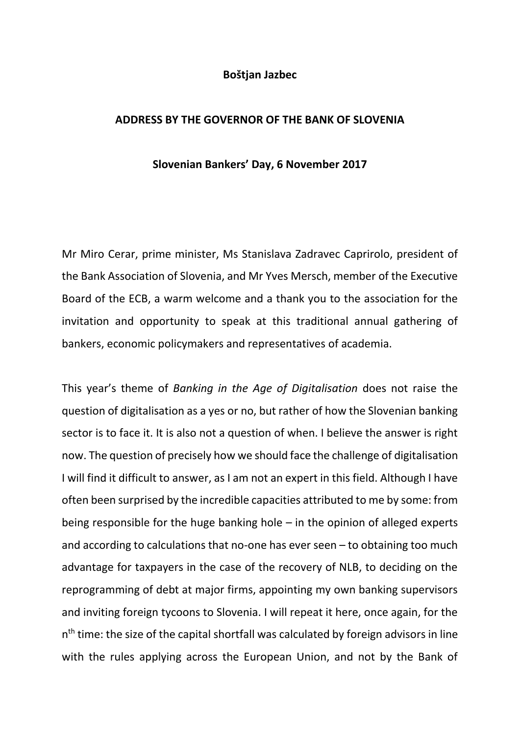## **Boštjan Jazbec**

## **ADDRESS BY THE GOVERNOR OF THE BANK OF SLOVENIA**

## **Slovenian Bankers' Day, 6 November 2017**

Mr Miro Cerar, prime minister, Ms Stanislava Zadravec Caprirolo, president of the Bank Association of Slovenia, and Mr Yves Mersch, member of the Executive Board of the ECB, a warm welcome and a thank you to the association for the invitation and opportunity to speak at this traditional annual gathering of bankers, economic policymakers and representatives of academia.

This year's theme of *Banking in the Age of Digitalisation* does not raise the question of digitalisation as a yes or no, but rather of how the Slovenian banking sector is to face it. It is also not a question of when. I believe the answer is right now. The question of precisely how we should face the challenge of digitalisation I will find it difficult to answer, as I am not an expert in this field. Although I have often been surprised by the incredible capacities attributed to me by some: from being responsible for the huge banking hole  $-$  in the opinion of alleged experts and according to calculations that no-one has ever seen – to obtaining too much advantage for taxpayers in the case of the recovery of NLB, to deciding on the reprogramming of debt at major firms, appointing my own banking supervisors and inviting foreign tycoons to Slovenia. I will repeat it here, once again, for the n<sup>th</sup> time: the size of the capital shortfall was calculated by foreign advisors in line with the rules applying across the European Union, and not by the Bank of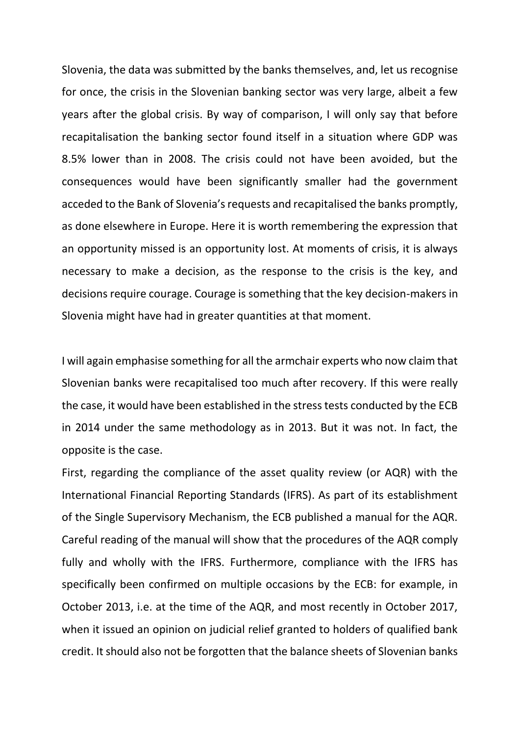Slovenia, the data was submitted by the banks themselves, and, let us recognise for once, the crisis in the Slovenian banking sector was very large, albeit a few years after the global crisis. By way of comparison, I will only say that before recapitalisation the banking sector found itself in a situation where GDP was 8.5% lower than in 2008. The crisis could not have been avoided, but the consequences would have been significantly smaller had the government acceded to the Bank of Slovenia's requests and recapitalised the banks promptly, as done elsewhere in Europe. Here it is worth remembering the expression that an opportunity missed is an opportunity lost. At moments of crisis, it is always necessary to make a decision, as the response to the crisis is the key, and decisions require courage. Courage is something that the key decision-makers in Slovenia might have had in greater quantities at that moment.

I will again emphasise something for all the armchair experts who now claim that Slovenian banks were recapitalised too much after recovery. If this were really the case, it would have been established in the stress tests conducted by the ECB in 2014 under the same methodology as in 2013. But it was not. In fact, the opposite is the case.

First, regarding the compliance of the asset quality review (or AQR) with the International Financial Reporting Standards (IFRS). As part of its establishment of the Single Supervisory Mechanism, the ECB published a manual for the AQR. Careful reading of the manual will show that the procedures of the AQR comply fully and wholly with the IFRS. Furthermore, compliance with the IFRS has specifically been confirmed on multiple occasions by the ECB: for example, in October 2013, i.e. at the time of the AQR, and most recently in October 2017, when it issued an opinion on judicial relief granted to holders of qualified bank credit. It should also not be forgotten that the balance sheets of Slovenian banks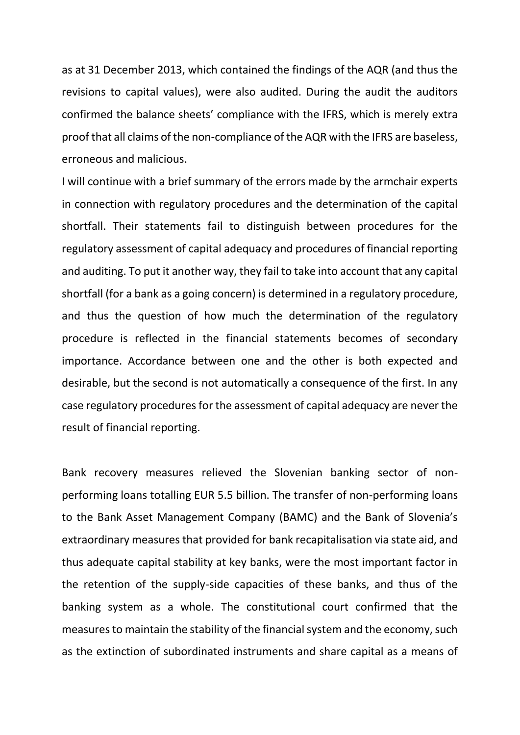as at 31 December 2013, which contained the findings of the AQR (and thus the revisions to capital values), were also audited. During the audit the auditors confirmed the balance sheets' compliance with the IFRS, which is merely extra proof that all claims of the non-compliance of the AQR with the IFRS are baseless, erroneous and malicious.

I will continue with a brief summary of the errors made by the armchair experts in connection with regulatory procedures and the determination of the capital shortfall. Their statements fail to distinguish between procedures for the regulatory assessment of capital adequacy and procedures of financial reporting and auditing. To put it another way, they fail to take into account that any capital shortfall (for a bank as a going concern) is determined in a regulatory procedure, and thus the question of how much the determination of the regulatory procedure is reflected in the financial statements becomes of secondary importance. Accordance between one and the other is both expected and desirable, but the second is not automatically a consequence of the first. In any case regulatory procedures for the assessment of capital adequacy are never the result of financial reporting.

Bank recovery measures relieved the Slovenian banking sector of nonperforming loans totalling EUR 5.5 billion. The transfer of non-performing loans to the Bank Asset Management Company (BAMC) and the Bank of Slovenia's extraordinary measures that provided for bank recapitalisation via state aid, and thus adequate capital stability at key banks, were the most important factor in the retention of the supply-side capacities of these banks, and thus of the banking system as a whole. The constitutional court confirmed that the measures to maintain the stability of the financial system and the economy, such as the extinction of subordinated instruments and share capital as a means of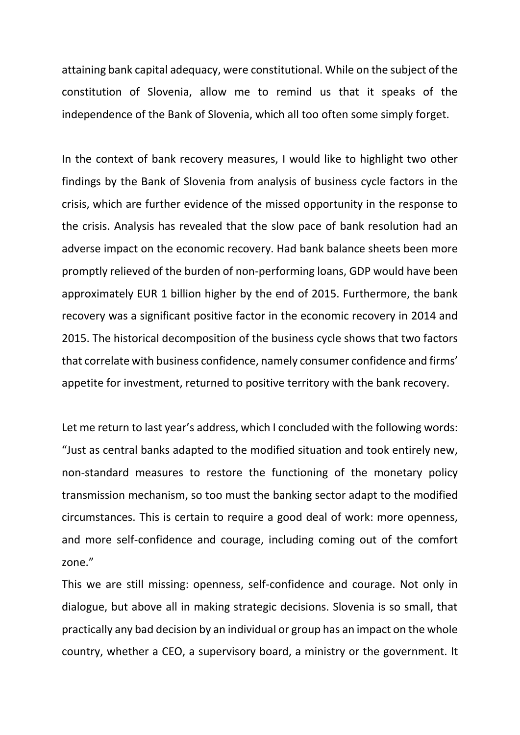attaining bank capital adequacy, were constitutional. While on the subject of the constitution of Slovenia, allow me to remind us that it speaks of the independence of the Bank of Slovenia, which all too often some simply forget.

In the context of bank recovery measures, I would like to highlight two other findings by the Bank of Slovenia from analysis of business cycle factors in the crisis, which are further evidence of the missed opportunity in the response to the crisis. Analysis has revealed that the slow pace of bank resolution had an adverse impact on the economic recovery. Had bank balance sheets been more promptly relieved of the burden of non-performing loans, GDP would have been approximately EUR 1 billion higher by the end of 2015. Furthermore, the bank recovery was a significant positive factor in the economic recovery in 2014 and 2015. The historical decomposition of the business cycle shows that two factors that correlate with business confidence, namely consumer confidence and firms' appetite for investment, returned to positive territory with the bank recovery.

Let me return to last year's address, which I concluded with the following words: "Just as central banks adapted to the modified situation and took entirely new, non-standard measures to restore the functioning of the monetary policy transmission mechanism, so too must the banking sector adapt to the modified circumstances. This is certain to require a good deal of work: more openness, and more self-confidence and courage, including coming out of the comfort zone."

This we are still missing: openness, self-confidence and courage. Not only in dialogue, but above all in making strategic decisions. Slovenia is so small, that practically any bad decision by an individual or group has an impact on the whole country, whether a CEO, a supervisory board, a ministry or the government. It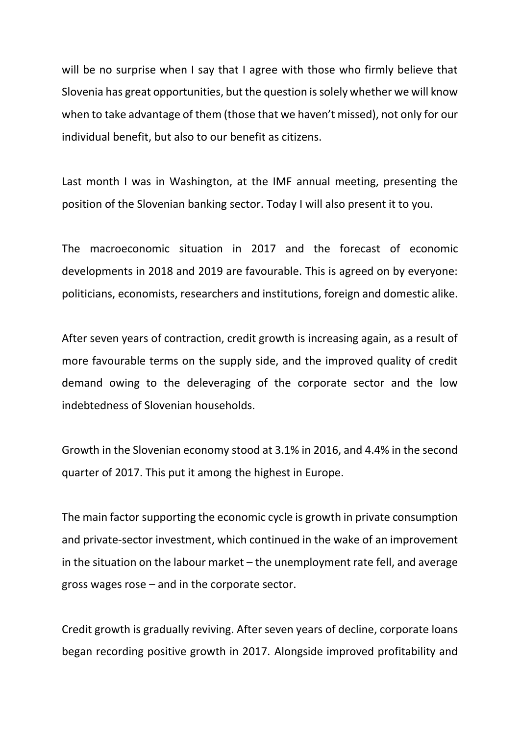will be no surprise when I say that I agree with those who firmly believe that Slovenia has great opportunities, but the question is solely whether we will know when to take advantage of them (those that we haven't missed), not only for our individual benefit, but also to our benefit as citizens.

Last month I was in Washington, at the IMF annual meeting, presenting the position of the Slovenian banking sector. Today I will also present it to you.

The macroeconomic situation in 2017 and the forecast of economic developments in 2018 and 2019 are favourable. This is agreed on by everyone: politicians, economists, researchers and institutions, foreign and domestic alike.

After seven years of contraction, credit growth is increasing again, as a result of more favourable terms on the supply side, and the improved quality of credit demand owing to the deleveraging of the corporate sector and the low indebtedness of Slovenian households.

Growth in the Slovenian economy stood at 3.1% in 2016, and 4.4% in the second quarter of 2017. This put it among the highest in Europe.

The main factor supporting the economic cycle is growth in private consumption and private-sector investment, which continued in the wake of an improvement in the situation on the labour market – the unemployment rate fell, and average gross wages rose – and in the corporate sector.

Credit growth is gradually reviving. After seven years of decline, corporate loans began recording positive growth in 2017. Alongside improved profitability and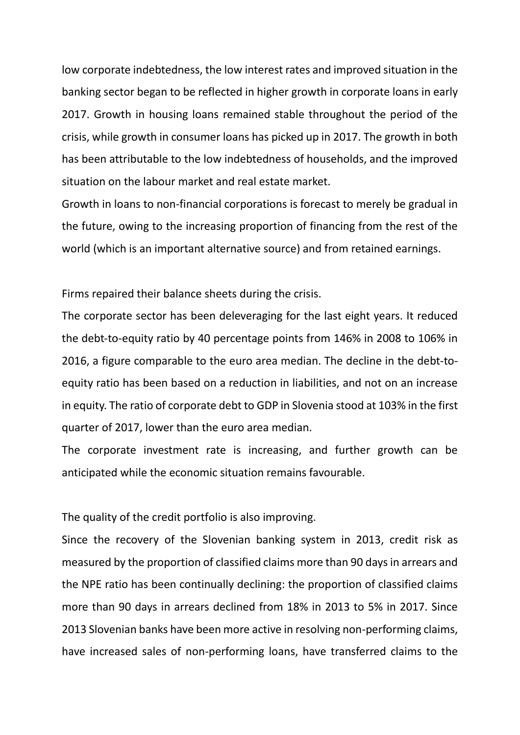low corporate indebtedness, the low interest rates and improved situation in the banking sector began to be reflected in higher growth in corporate loans in early 2017. Growth in housing loans remained stable throughout the period of the crisis, while growth in consumer loans has picked up in 2017. The growth in both has been attributable to the low indebtedness of households, and the improved situation on the labour market and real estate market.

Growth in loans to non-financial corporations is forecast to merely be gradual in the future, owing to the increasing proportion of financing from the rest of the world (which is an important alternative source) and from retained earnings.

Firms repaired their balance sheets during the crisis.

The corporate sector has been deleveraging for the last eight years. It reduced the debt-to-equity ratio by 40 percentage points from 146% in 2008 to 106% in 2016, a figure comparable to the euro area median. The decline in the debt-toequity ratio has been based on a reduction in liabilities, and not on an increase in equity. The ratio of corporate debt to GDP in Slovenia stood at 103% in the first quarter of 2017, lower than the euro area median.

The corporate investment rate is increasing, and further growth can be anticipated while the economic situation remains favourable.

The quality of the credit portfolio is also improving.

Since the recovery of the Slovenian banking system in 2013, credit risk as measured by the proportion of classified claims more than 90 days in arrears and the NPE ratio has been continually declining: the proportion of classified claims more than 90 days in arrears declined from 18% in 2013 to 5% in 2017. Since 2013 Slovenian banks have been more active in resolving non-performing claims, have increased sales of non-performing loans, have transferred claims to the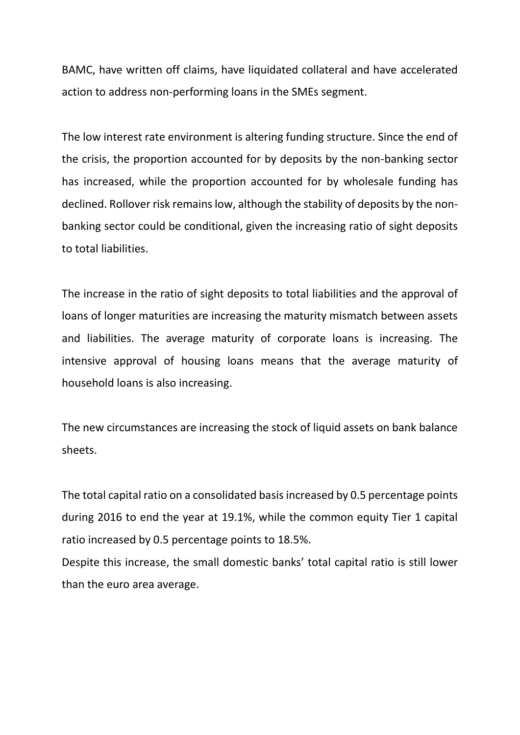BAMC, have written off claims, have liquidated collateral and have accelerated action to address non-performing loans in the SMEs segment.

The low interest rate environment is altering funding structure. Since the end of the crisis, the proportion accounted for by deposits by the non-banking sector has increased, while the proportion accounted for by wholesale funding has declined. Rollover risk remains low, although the stability of deposits by the nonbanking sector could be conditional, given the increasing ratio of sight deposits to total liabilities.

The increase in the ratio of sight deposits to total liabilities and the approval of loans of longer maturities are increasing the maturity mismatch between assets and liabilities. The average maturity of corporate loans is increasing. The intensive approval of housing loans means that the average maturity of household loans is also increasing.

The new circumstances are increasing the stock of liquid assets on bank balance sheets.

The total capital ratio on a consolidated basis increased by 0.5 percentage points during 2016 to end the year at 19.1%, while the common equity Tier 1 capital ratio increased by 0.5 percentage points to 18.5%.

Despite this increase, the small domestic banks' total capital ratio is still lower than the euro area average.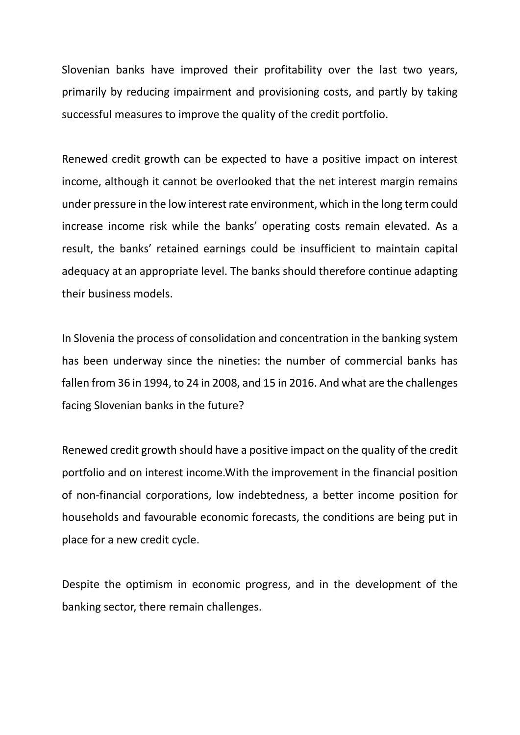Slovenian banks have improved their profitability over the last two years, primarily by reducing impairment and provisioning costs, and partly by taking successful measures to improve the quality of the credit portfolio.

Renewed credit growth can be expected to have a positive impact on interest income, although it cannot be overlooked that the net interest margin remains under pressure in the low interest rate environment, which in the long term could increase income risk while the banks' operating costs remain elevated. As a result, the banks' retained earnings could be insufficient to maintain capital adequacy at an appropriate level. The banks should therefore continue adapting their business models.

In Slovenia the process of consolidation and concentration in the banking system has been underway since the nineties: the number of commercial banks has fallen from 36 in 1994, to 24 in 2008, and 15 in 2016. And what are the challenges facing Slovenian banks in the future?

Renewed credit growth should have a positive impact on the quality of the credit portfolio and on interest income.With the improvement in the financial position of non-financial corporations, low indebtedness, a better income position for households and favourable economic forecasts, the conditions are being put in place for a new credit cycle.

Despite the optimism in economic progress, and in the development of the banking sector, there remain challenges.